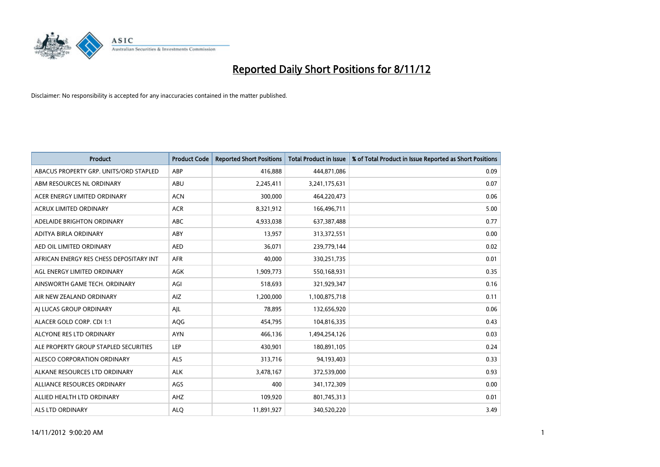

| <b>Product</b>                          | <b>Product Code</b> | <b>Reported Short Positions</b> | <b>Total Product in Issue</b> | % of Total Product in Issue Reported as Short Positions |
|-----------------------------------------|---------------------|---------------------------------|-------------------------------|---------------------------------------------------------|
| ABACUS PROPERTY GRP. UNITS/ORD STAPLED  | ABP                 | 416,888                         | 444,871,086                   | 0.09                                                    |
| ABM RESOURCES NL ORDINARY               | <b>ABU</b>          | 2,245,411                       | 3,241,175,631                 | 0.07                                                    |
| ACER ENERGY LIMITED ORDINARY            | <b>ACN</b>          | 300,000                         | 464,220,473                   | 0.06                                                    |
| ACRUX LIMITED ORDINARY                  | <b>ACR</b>          | 8,321,912                       | 166,496,711                   | 5.00                                                    |
| ADELAIDE BRIGHTON ORDINARY              | <b>ABC</b>          | 4,933,038                       | 637,387,488                   | 0.77                                                    |
| ADITYA BIRLA ORDINARY                   | ABY                 | 13,957                          | 313,372,551                   | 0.00                                                    |
| AED OIL LIMITED ORDINARY                | <b>AED</b>          | 36.071                          | 239,779,144                   | 0.02                                                    |
| AFRICAN ENERGY RES CHESS DEPOSITARY INT | <b>AFR</b>          | 40.000                          | 330,251,735                   | 0.01                                                    |
| AGL ENERGY LIMITED ORDINARY             | <b>AGK</b>          | 1,909,773                       | 550,168,931                   | 0.35                                                    |
| AINSWORTH GAME TECH. ORDINARY           | AGI                 | 518,693                         | 321,929,347                   | 0.16                                                    |
| AIR NEW ZEALAND ORDINARY                | AIZ                 | 1,200,000                       | 1,100,875,718                 | 0.11                                                    |
| AI LUCAS GROUP ORDINARY                 | AJL                 | 78,895                          | 132,656,920                   | 0.06                                                    |
| ALACER GOLD CORP. CDI 1:1               | <b>AQG</b>          | 454,795                         | 104,816,335                   | 0.43                                                    |
| ALCYONE RES LTD ORDINARY                | <b>AYN</b>          | 466,136                         | 1,494,254,126                 | 0.03                                                    |
| ALE PROPERTY GROUP STAPLED SECURITIES   | LEP                 | 430,901                         | 180,891,105                   | 0.24                                                    |
| ALESCO CORPORATION ORDINARY             | <b>ALS</b>          | 313,716                         | 94,193,403                    | 0.33                                                    |
| ALKANE RESOURCES LTD ORDINARY           | <b>ALK</b>          | 3,478,167                       | 372,539,000                   | 0.93                                                    |
| ALLIANCE RESOURCES ORDINARY             | AGS                 | 400                             | 341,172,309                   | 0.00                                                    |
| ALLIED HEALTH LTD ORDINARY              | AHZ                 | 109,920                         | 801,745,313                   | 0.01                                                    |
| ALS LTD ORDINARY                        | <b>ALO</b>          | 11,891,927                      | 340,520,220                   | 3.49                                                    |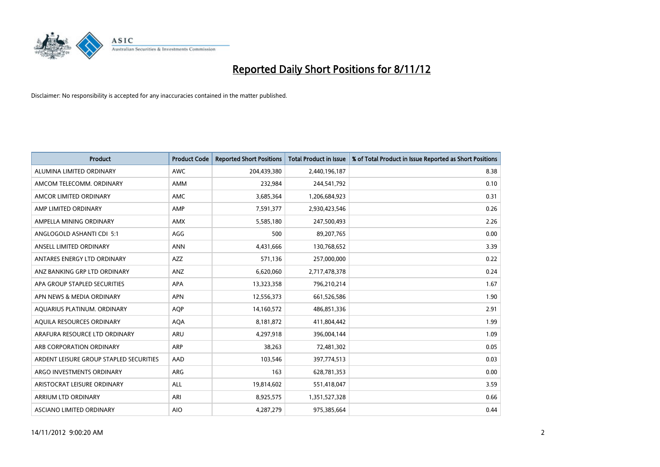

| <b>Product</b>                          | <b>Product Code</b> | <b>Reported Short Positions</b> | <b>Total Product in Issue</b> | % of Total Product in Issue Reported as Short Positions |
|-----------------------------------------|---------------------|---------------------------------|-------------------------------|---------------------------------------------------------|
| ALUMINA LIMITED ORDINARY                | <b>AWC</b>          | 204,439,380                     | 2,440,196,187                 | 8.38                                                    |
| AMCOM TELECOMM. ORDINARY                | <b>AMM</b>          | 232,984                         | 244,541,792                   | 0.10                                                    |
| AMCOR LIMITED ORDINARY                  | AMC                 | 3,685,364                       | 1,206,684,923                 | 0.31                                                    |
| AMP LIMITED ORDINARY                    | AMP                 | 7,591,377                       | 2,930,423,546                 | 0.26                                                    |
| AMPELLA MINING ORDINARY                 | <b>AMX</b>          | 5,585,180                       | 247,500,493                   | 2.26                                                    |
| ANGLOGOLD ASHANTI CDI 5:1               | AGG                 | 500                             | 89,207,765                    | 0.00                                                    |
| ANSELL LIMITED ORDINARY                 | <b>ANN</b>          | 4.431.666                       | 130,768,652                   | 3.39                                                    |
| ANTARES ENERGY LTD ORDINARY             | <b>AZZ</b>          | 571,136                         | 257,000,000                   | 0.22                                                    |
| ANZ BANKING GRP LTD ORDINARY            | ANZ                 | 6,620,060                       | 2,717,478,378                 | 0.24                                                    |
| APA GROUP STAPLED SECURITIES            | <b>APA</b>          | 13,323,358                      | 796,210,214                   | 1.67                                                    |
| APN NEWS & MEDIA ORDINARY               | <b>APN</b>          | 12,556,373                      | 661,526,586                   | 1.90                                                    |
| AQUARIUS PLATINUM. ORDINARY             | <b>AQP</b>          | 14,160,572                      | 486,851,336                   | 2.91                                                    |
| AQUILA RESOURCES ORDINARY               | <b>AQA</b>          | 8,181,872                       | 411,804,442                   | 1.99                                                    |
| ARAFURA RESOURCE LTD ORDINARY           | ARU                 | 4,297,918                       | 396,004,144                   | 1.09                                                    |
| ARB CORPORATION ORDINARY                | ARP                 | 38,263                          | 72,481,302                    | 0.05                                                    |
| ARDENT LEISURE GROUP STAPLED SECURITIES | AAD                 | 103,546                         | 397,774,513                   | 0.03                                                    |
| ARGO INVESTMENTS ORDINARY               | ARG                 | 163                             | 628,781,353                   | 0.00                                                    |
| ARISTOCRAT LEISURE ORDINARY             | <b>ALL</b>          | 19,814,602                      | 551,418,047                   | 3.59                                                    |
| <b>ARRIUM LTD ORDINARY</b>              | ARI                 | 8,925,575                       | 1,351,527,328                 | 0.66                                                    |
| ASCIANO LIMITED ORDINARY                | <b>AIO</b>          | 4.287.279                       | 975,385,664                   | 0.44                                                    |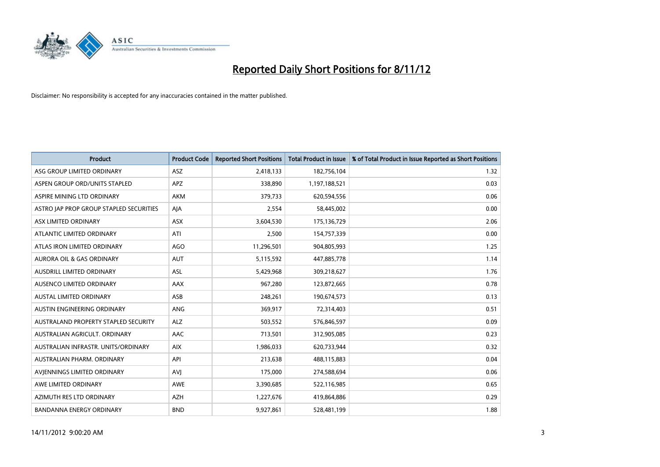

| <b>Product</b>                          | <b>Product Code</b> | <b>Reported Short Positions</b> | <b>Total Product in Issue</b> | % of Total Product in Issue Reported as Short Positions |
|-----------------------------------------|---------------------|---------------------------------|-------------------------------|---------------------------------------------------------|
| ASG GROUP LIMITED ORDINARY              | ASZ                 | 2,418,133                       | 182,756,104                   | 1.32                                                    |
| ASPEN GROUP ORD/UNITS STAPLED           | <b>APZ</b>          | 338,890                         | 1,197,188,521                 | 0.03                                                    |
| ASPIRE MINING LTD ORDINARY              | <b>AKM</b>          | 379,733                         | 620,594,556                   | 0.06                                                    |
| ASTRO JAP PROP GROUP STAPLED SECURITIES | AJA                 | 2,554                           | 58,445,002                    | 0.00                                                    |
| ASX LIMITED ORDINARY                    | <b>ASX</b>          | 3,604,530                       | 175,136,729                   | 2.06                                                    |
| ATLANTIC LIMITED ORDINARY               | ATI                 | 2,500                           | 154,757,339                   | 0.00                                                    |
| ATLAS IRON LIMITED ORDINARY             | AGO                 | 11,296,501                      | 904,805,993                   | 1.25                                                    |
| <b>AURORA OIL &amp; GAS ORDINARY</b>    | <b>AUT</b>          | 5,115,592                       | 447,885,778                   | 1.14                                                    |
| AUSDRILL LIMITED ORDINARY               | ASL                 | 5,429,968                       | 309,218,627                   | 1.76                                                    |
| AUSENCO LIMITED ORDINARY                | <b>AAX</b>          | 967,280                         | 123,872,665                   | 0.78                                                    |
| <b>AUSTAL LIMITED ORDINARY</b>          | ASB                 | 248,261                         | 190,674,573                   | 0.13                                                    |
| AUSTIN ENGINEERING ORDINARY             | ANG                 | 369,917                         | 72,314,403                    | 0.51                                                    |
| AUSTRALAND PROPERTY STAPLED SECURITY    | <b>ALZ</b>          | 503,552                         | 576,846,597                   | 0.09                                                    |
| AUSTRALIAN AGRICULT, ORDINARY           | AAC                 | 713,501                         | 312,905,085                   | 0.23                                                    |
| AUSTRALIAN INFRASTR, UNITS/ORDINARY     | <b>AIX</b>          | 1,986,033                       | 620,733,944                   | 0.32                                                    |
| AUSTRALIAN PHARM, ORDINARY              | API                 | 213,638                         | 488,115,883                   | 0.04                                                    |
| AVIENNINGS LIMITED ORDINARY             | AVI                 | 175,000                         | 274,588,694                   | 0.06                                                    |
| AWE LIMITED ORDINARY                    | <b>AWE</b>          | 3,390,685                       | 522,116,985                   | 0.65                                                    |
| AZIMUTH RES LTD ORDINARY                | <b>AZH</b>          | 1,227,676                       | 419,864,886                   | 0.29                                                    |
| <b>BANDANNA ENERGY ORDINARY</b>         | <b>BND</b>          | 9,927,861                       | 528,481,199                   | 1.88                                                    |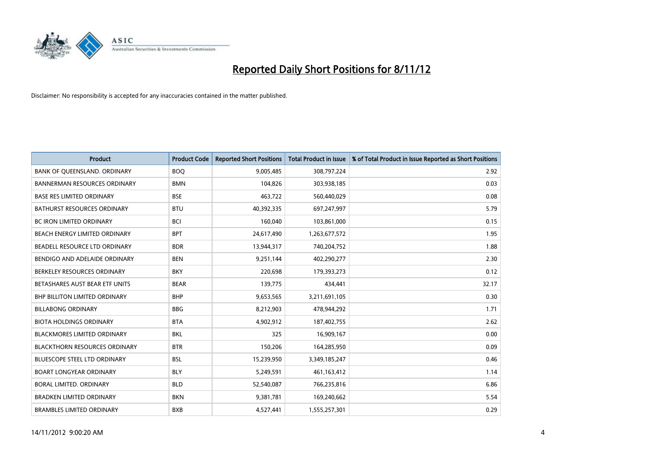

| <b>Product</b>                       | <b>Product Code</b> | <b>Reported Short Positions</b> | <b>Total Product in Issue</b> | % of Total Product in Issue Reported as Short Positions |
|--------------------------------------|---------------------|---------------------------------|-------------------------------|---------------------------------------------------------|
| BANK OF QUEENSLAND. ORDINARY         | <b>BOQ</b>          | 9,005,485                       | 308,797,224                   | 2.92                                                    |
| <b>BANNERMAN RESOURCES ORDINARY</b>  | <b>BMN</b>          | 104,826                         | 303,938,185                   | 0.03                                                    |
| <b>BASE RES LIMITED ORDINARY</b>     | <b>BSE</b>          | 463,722                         | 560,440,029                   | 0.08                                                    |
| BATHURST RESOURCES ORDINARY          | <b>BTU</b>          | 40,392,335                      | 697,247,997                   | 5.79                                                    |
| <b>BC IRON LIMITED ORDINARY</b>      | <b>BCI</b>          | 160,040                         | 103,861,000                   | 0.15                                                    |
| <b>BEACH ENERGY LIMITED ORDINARY</b> | <b>BPT</b>          | 24,617,490                      | 1,263,677,572                 | 1.95                                                    |
| BEADELL RESOURCE LTD ORDINARY        | <b>BDR</b>          | 13,944,317                      | 740,204,752                   | 1.88                                                    |
| BENDIGO AND ADELAIDE ORDINARY        | <b>BEN</b>          | 9,251,144                       | 402,290,277                   | 2.30                                                    |
| BERKELEY RESOURCES ORDINARY          | <b>BKY</b>          | 220,698                         | 179,393,273                   | 0.12                                                    |
| BETASHARES AUST BEAR ETF UNITS       | <b>BEAR</b>         | 139,775                         | 434,441                       | 32.17                                                   |
| <b>BHP BILLITON LIMITED ORDINARY</b> | <b>BHP</b>          | 9,653,565                       | 3,211,691,105                 | 0.30                                                    |
| <b>BILLABONG ORDINARY</b>            | <b>BBG</b>          | 8,212,903                       | 478,944,292                   | 1.71                                                    |
| <b>BIOTA HOLDINGS ORDINARY</b>       | <b>BTA</b>          | 4,902,912                       | 187,402,755                   | 2.62                                                    |
| <b>BLACKMORES LIMITED ORDINARY</b>   | <b>BKL</b>          | 325                             | 16,909,167                    | 0.00                                                    |
| <b>BLACKTHORN RESOURCES ORDINARY</b> | <b>BTR</b>          | 150,206                         | 164,285,950                   | 0.09                                                    |
| BLUESCOPE STEEL LTD ORDINARY         | <b>BSL</b>          | 15,239,950                      | 3,349,185,247                 | 0.46                                                    |
| <b>BOART LONGYEAR ORDINARY</b>       | <b>BLY</b>          | 5,249,591                       | 461,163,412                   | 1.14                                                    |
| <b>BORAL LIMITED, ORDINARY</b>       | <b>BLD</b>          | 52,540,087                      | 766,235,816                   | 6.86                                                    |
| <b>BRADKEN LIMITED ORDINARY</b>      | <b>BKN</b>          | 9,381,781                       | 169,240,662                   | 5.54                                                    |
| <b>BRAMBLES LIMITED ORDINARY</b>     | <b>BXB</b>          | 4,527,441                       | 1,555,257,301                 | 0.29                                                    |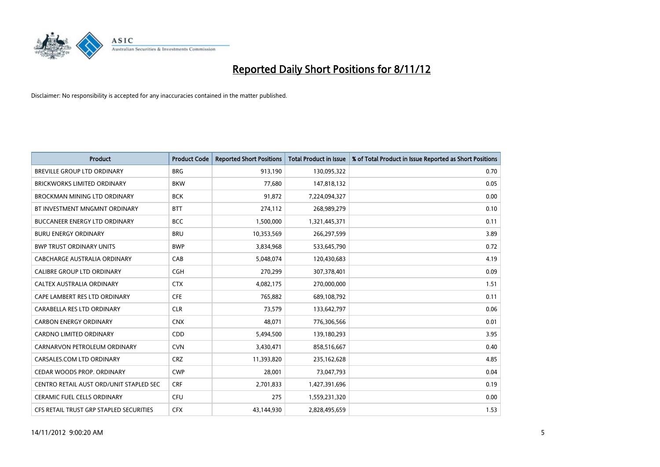

| <b>Product</b>                          | <b>Product Code</b> | <b>Reported Short Positions</b> | <b>Total Product in Issue</b> | % of Total Product in Issue Reported as Short Positions |
|-----------------------------------------|---------------------|---------------------------------|-------------------------------|---------------------------------------------------------|
| <b>BREVILLE GROUP LTD ORDINARY</b>      | <b>BRG</b>          | 913,190                         | 130,095,322                   | 0.70                                                    |
| <b>BRICKWORKS LIMITED ORDINARY</b>      | <b>BKW</b>          | 77,680                          | 147,818,132                   | 0.05                                                    |
| <b>BROCKMAN MINING LTD ORDINARY</b>     | <b>BCK</b>          | 91,872                          | 7,224,094,327                 | 0.00                                                    |
| BT INVESTMENT MNGMNT ORDINARY           | <b>BTT</b>          | 274,112                         | 268,989,279                   | 0.10                                                    |
| <b>BUCCANEER ENERGY LTD ORDINARY</b>    | <b>BCC</b>          | 1,500,000                       | 1,321,445,371                 | 0.11                                                    |
| <b>BURU ENERGY ORDINARY</b>             | <b>BRU</b>          | 10,353,569                      | 266,297,599                   | 3.89                                                    |
| <b>BWP TRUST ORDINARY UNITS</b>         | <b>BWP</b>          | 3,834,968                       | 533,645,790                   | 0.72                                                    |
| CABCHARGE AUSTRALIA ORDINARY            | CAB                 | 5,048,074                       | 120,430,683                   | 4.19                                                    |
| <b>CALIBRE GROUP LTD ORDINARY</b>       | <b>CGH</b>          | 270,299                         | 307,378,401                   | 0.09                                                    |
| CALTEX AUSTRALIA ORDINARY               | <b>CTX</b>          | 4,082,175                       | 270,000,000                   | 1.51                                                    |
| CAPE LAMBERT RES LTD ORDINARY           | <b>CFE</b>          | 765,882                         | 689,108,792                   | 0.11                                                    |
| CARABELLA RES LTD ORDINARY              | <b>CLR</b>          | 73,579                          | 133,642,797                   | 0.06                                                    |
| <b>CARBON ENERGY ORDINARY</b>           | <b>CNX</b>          | 48,071                          | 776,306,566                   | 0.01                                                    |
| <b>CARDNO LIMITED ORDINARY</b>          | <b>CDD</b>          | 5,494,500                       | 139,180,293                   | 3.95                                                    |
| CARNARVON PETROLEUM ORDINARY            | <b>CVN</b>          | 3,430,471                       | 858,516,667                   | 0.40                                                    |
| CARSALES.COM LTD ORDINARY               | <b>CRZ</b>          | 11,393,820                      | 235,162,628                   | 4.85                                                    |
| CEDAR WOODS PROP. ORDINARY              | <b>CWP</b>          | 28,001                          | 73,047,793                    | 0.04                                                    |
| CENTRO RETAIL AUST ORD/UNIT STAPLED SEC | <b>CRF</b>          | 2,701,833                       | 1,427,391,696                 | 0.19                                                    |
| CERAMIC FUEL CELLS ORDINARY             | CFU                 | 275                             | 1,559,231,320                 | 0.00                                                    |
| CFS RETAIL TRUST GRP STAPLED SECURITIES | <b>CFX</b>          | 43,144,930                      | 2,828,495,659                 | 1.53                                                    |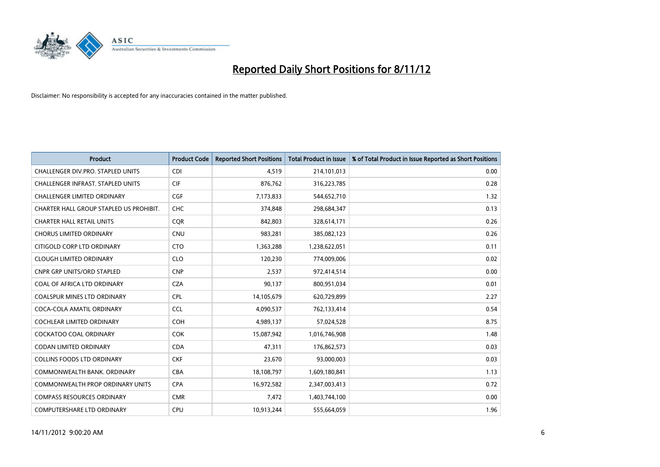

| <b>Product</b>                          | <b>Product Code</b> | <b>Reported Short Positions</b> | <b>Total Product in Issue</b> | % of Total Product in Issue Reported as Short Positions |
|-----------------------------------------|---------------------|---------------------------------|-------------------------------|---------------------------------------------------------|
| CHALLENGER DIV.PRO. STAPLED UNITS       | <b>CDI</b>          | 4,519                           | 214,101,013                   | 0.00                                                    |
| CHALLENGER INFRAST. STAPLED UNITS       | <b>CIF</b>          | 876,762                         | 316,223,785                   | 0.28                                                    |
| <b>CHALLENGER LIMITED ORDINARY</b>      | <b>CGF</b>          | 7,173,833                       | 544,652,710                   | 1.32                                                    |
| CHARTER HALL GROUP STAPLED US PROHIBIT. | <b>CHC</b>          | 374,848                         | 298,684,347                   | 0.13                                                    |
| <b>CHARTER HALL RETAIL UNITS</b>        | <b>COR</b>          | 842,803                         | 328,614,171                   | 0.26                                                    |
| <b>CHORUS LIMITED ORDINARY</b>          | <b>CNU</b>          | 983,281                         | 385,082,123                   | 0.26                                                    |
| CITIGOLD CORP LTD ORDINARY              | <b>CTO</b>          | 1,363,288                       | 1,238,622,051                 | 0.11                                                    |
| <b>CLOUGH LIMITED ORDINARY</b>          | <b>CLO</b>          | 120,230                         | 774,009,006                   | 0.02                                                    |
| <b>CNPR GRP UNITS/ORD STAPLED</b>       | <b>CNP</b>          | 2,537                           | 972,414,514                   | 0.00                                                    |
| COAL OF AFRICA LTD ORDINARY             | <b>CZA</b>          | 90,137                          | 800,951,034                   | 0.01                                                    |
| <b>COALSPUR MINES LTD ORDINARY</b>      | <b>CPL</b>          | 14,105,679                      | 620,729,899                   | 2.27                                                    |
| COCA-COLA AMATIL ORDINARY               | <b>CCL</b>          | 4,090,537                       | 762,133,414                   | 0.54                                                    |
| <b>COCHLEAR LIMITED ORDINARY</b>        | <b>COH</b>          | 4,989,137                       | 57,024,528                    | 8.75                                                    |
| <b>COCKATOO COAL ORDINARY</b>           | <b>COK</b>          | 15,087,942                      | 1,016,746,908                 | 1.48                                                    |
| CODAN LIMITED ORDINARY                  | <b>CDA</b>          | 47,311                          | 176,862,573                   | 0.03                                                    |
| <b>COLLINS FOODS LTD ORDINARY</b>       | <b>CKF</b>          | 23,670                          | 93,000,003                    | 0.03                                                    |
| COMMONWEALTH BANK, ORDINARY             | <b>CBA</b>          | 18,108,797                      | 1,609,180,841                 | 1.13                                                    |
| COMMONWEALTH PROP ORDINARY UNITS        | <b>CPA</b>          | 16,972,582                      | 2,347,003,413                 | 0.72                                                    |
| <b>COMPASS RESOURCES ORDINARY</b>       | <b>CMR</b>          | 7,472                           | 1,403,744,100                 | 0.00                                                    |
| COMPUTERSHARE LTD ORDINARY              | <b>CPU</b>          | 10,913,244                      | 555,664,059                   | 1.96                                                    |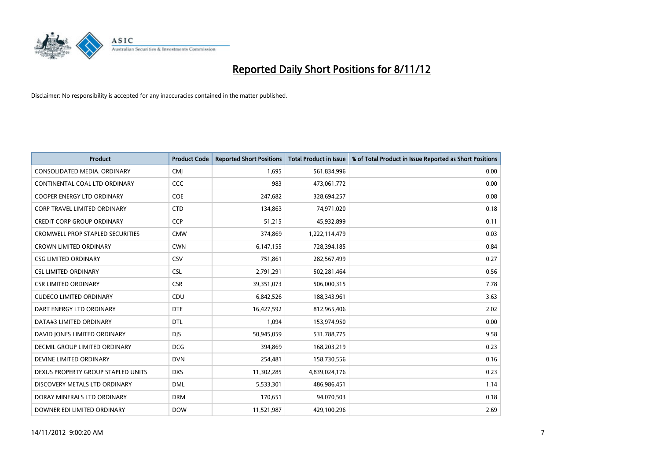

| <b>Product</b>                          | <b>Product Code</b> | <b>Reported Short Positions</b> | <b>Total Product in Issue</b> | % of Total Product in Issue Reported as Short Positions |
|-----------------------------------------|---------------------|---------------------------------|-------------------------------|---------------------------------------------------------|
| CONSOLIDATED MEDIA, ORDINARY            | <b>CMI</b>          | 1,695                           | 561,834,996                   | 0.00                                                    |
| CONTINENTAL COAL LTD ORDINARY           | CCC                 | 983                             | 473,061,772                   | 0.00                                                    |
| <b>COOPER ENERGY LTD ORDINARY</b>       | <b>COE</b>          | 247,682                         | 328,694,257                   | 0.08                                                    |
| CORP TRAVEL LIMITED ORDINARY            | <b>CTD</b>          | 134,863                         | 74,971,020                    | 0.18                                                    |
| <b>CREDIT CORP GROUP ORDINARY</b>       | <b>CCP</b>          | 51,215                          | 45,932,899                    | 0.11                                                    |
| <b>CROMWELL PROP STAPLED SECURITIES</b> | <b>CMW</b>          | 374,869                         | 1,222,114,479                 | 0.03                                                    |
| <b>CROWN LIMITED ORDINARY</b>           | <b>CWN</b>          | 6,147,155                       | 728,394,185                   | 0.84                                                    |
| <b>CSG LIMITED ORDINARY</b>             | CSV                 | 751,861                         | 282,567,499                   | 0.27                                                    |
| <b>CSL LIMITED ORDINARY</b>             | <b>CSL</b>          | 2,791,291                       | 502,281,464                   | 0.56                                                    |
| <b>CSR LIMITED ORDINARY</b>             | <b>CSR</b>          | 39,351,073                      | 506,000,315                   | 7.78                                                    |
| <b>CUDECO LIMITED ORDINARY</b>          | CDU                 | 6,842,526                       | 188,343,961                   | 3.63                                                    |
| DART ENERGY LTD ORDINARY                | <b>DTE</b>          | 16,427,592                      | 812,965,406                   | 2.02                                                    |
| DATA#3 LIMITED ORDINARY                 | <b>DTL</b>          | 1,094                           | 153,974,950                   | 0.00                                                    |
| DAVID JONES LIMITED ORDINARY            | <b>DIS</b>          | 50,945,059                      | 531,788,775                   | 9.58                                                    |
| DECMIL GROUP LIMITED ORDINARY           | <b>DCG</b>          | 394,869                         | 168,203,219                   | 0.23                                                    |
| DEVINE LIMITED ORDINARY                 | <b>DVN</b>          | 254,481                         | 158,730,556                   | 0.16                                                    |
| DEXUS PROPERTY GROUP STAPLED UNITS      | <b>DXS</b>          | 11,302,285                      | 4,839,024,176                 | 0.23                                                    |
| DISCOVERY METALS LTD ORDINARY           | <b>DML</b>          | 5,533,301                       | 486,986,451                   | 1.14                                                    |
| DORAY MINERALS LTD ORDINARY             | <b>DRM</b>          | 170,651                         | 94,070,503                    | 0.18                                                    |
| DOWNER EDI LIMITED ORDINARY             | <b>DOW</b>          | 11,521,987                      | 429,100,296                   | 2.69                                                    |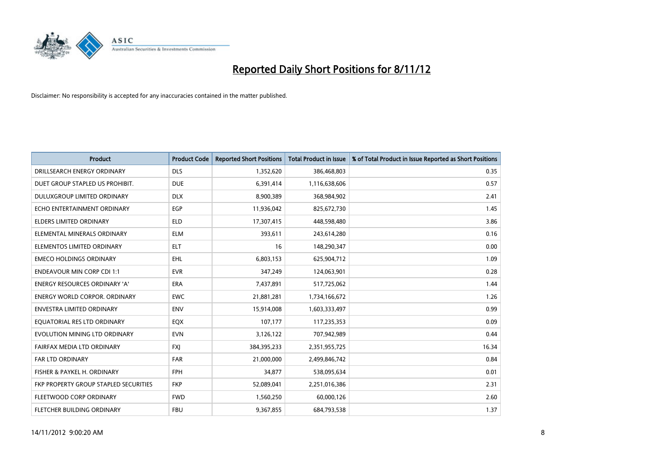

| <b>Product</b>                        | <b>Product Code</b> | <b>Reported Short Positions</b> | <b>Total Product in Issue</b> | % of Total Product in Issue Reported as Short Positions |
|---------------------------------------|---------------------|---------------------------------|-------------------------------|---------------------------------------------------------|
| DRILLSEARCH ENERGY ORDINARY           | <b>DLS</b>          | 1,352,620                       | 386,468,803                   | 0.35                                                    |
| DUET GROUP STAPLED US PROHIBIT.       | <b>DUE</b>          | 6,391,414                       | 1,116,638,606                 | 0.57                                                    |
| <b>DULUXGROUP LIMITED ORDINARY</b>    | <b>DLX</b>          | 8,900,389                       | 368,984,902                   | 2.41                                                    |
| ECHO ENTERTAINMENT ORDINARY           | <b>EGP</b>          | 11,936,042                      | 825,672,730                   | 1.45                                                    |
| <b>ELDERS LIMITED ORDINARY</b>        | <b>ELD</b>          | 17,307,415                      | 448,598,480                   | 3.86                                                    |
| ELEMENTAL MINERALS ORDINARY           | <b>ELM</b>          | 393,611                         | 243,614,280                   | 0.16                                                    |
| ELEMENTOS LIMITED ORDINARY            | <b>ELT</b>          | 16                              | 148,290,347                   | 0.00                                                    |
| <b>EMECO HOLDINGS ORDINARY</b>        | <b>EHL</b>          | 6,803,153                       | 625,904,712                   | 1.09                                                    |
| <b>ENDEAVOUR MIN CORP CDI 1:1</b>     | <b>EVR</b>          | 347,249                         | 124,063,901                   | 0.28                                                    |
| <b>ENERGY RESOURCES ORDINARY 'A'</b>  | <b>ERA</b>          | 7,437,891                       | 517,725,062                   | 1.44                                                    |
| <b>ENERGY WORLD CORPOR, ORDINARY</b>  | <b>EWC</b>          | 21,881,281                      | 1,734,166,672                 | 1.26                                                    |
| <b>ENVESTRA LIMITED ORDINARY</b>      | <b>ENV</b>          | 15,914,008                      | 1,603,333,497                 | 0.99                                                    |
| EQUATORIAL RES LTD ORDINARY           | <b>EQX</b>          | 107,177                         | 117,235,353                   | 0.09                                                    |
| EVOLUTION MINING LTD ORDINARY         | <b>EVN</b>          | 3,126,122                       | 707,942,989                   | 0.44                                                    |
| FAIRFAX MEDIA LTD ORDINARY            | <b>FXI</b>          | 384,395,233                     | 2,351,955,725                 | 16.34                                                   |
| <b>FAR LTD ORDINARY</b>               | <b>FAR</b>          | 21,000,000                      | 2,499,846,742                 | 0.84                                                    |
| FISHER & PAYKEL H. ORDINARY           | <b>FPH</b>          | 34,877                          | 538,095,634                   | 0.01                                                    |
| FKP PROPERTY GROUP STAPLED SECURITIES | <b>FKP</b>          | 52,089,041                      | 2,251,016,386                 | 2.31                                                    |
| FLEETWOOD CORP ORDINARY               | <b>FWD</b>          | 1,560,250                       | 60,000,126                    | 2.60                                                    |
| <b>FLETCHER BUILDING ORDINARY</b>     | <b>FBU</b>          | 9,367,855                       | 684,793,538                   | 1.37                                                    |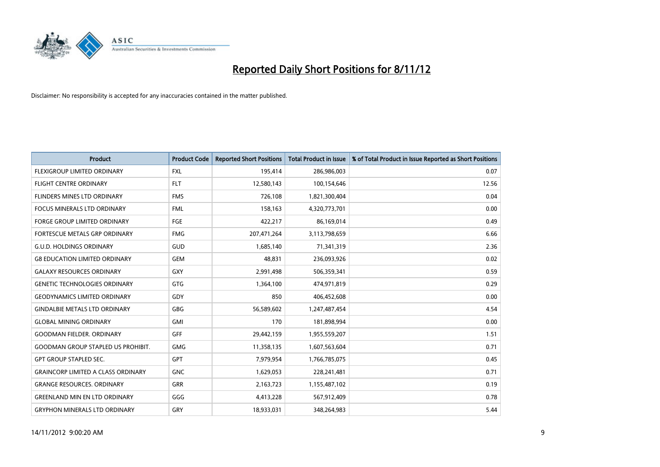

| <b>Product</b>                            | <b>Product Code</b> | <b>Reported Short Positions</b> | <b>Total Product in Issue</b> | % of Total Product in Issue Reported as Short Positions |
|-------------------------------------------|---------------------|---------------------------------|-------------------------------|---------------------------------------------------------|
| <b>FLEXIGROUP LIMITED ORDINARY</b>        | <b>FXL</b>          | 195,414                         | 286,986,003                   | 0.07                                                    |
| <b>FLIGHT CENTRE ORDINARY</b>             | <b>FLT</b>          | 12,580,143                      | 100,154,646                   | 12.56                                                   |
| <b>FLINDERS MINES LTD ORDINARY</b>        | <b>FMS</b>          | 726,108                         | 1,821,300,404                 | 0.04                                                    |
| FOCUS MINERALS LTD ORDINARY               | <b>FML</b>          | 158,163                         | 4,320,773,701                 | 0.00                                                    |
| <b>FORGE GROUP LIMITED ORDINARY</b>       | FGE                 | 422,217                         | 86,169,014                    | 0.49                                                    |
| FORTESCUE METALS GRP ORDINARY             | <b>FMG</b>          | 207,471,264                     | 3,113,798,659                 | 6.66                                                    |
| <b>G.U.D. HOLDINGS ORDINARY</b>           | GUD                 | 1,685,140                       | 71,341,319                    | 2.36                                                    |
| <b>G8 EDUCATION LIMITED ORDINARY</b>      | <b>GEM</b>          | 48,831                          | 236,093,926                   | 0.02                                                    |
| <b>GALAXY RESOURCES ORDINARY</b>          | <b>GXY</b>          | 2,991,498                       | 506,359,341                   | 0.59                                                    |
| <b>GENETIC TECHNOLOGIES ORDINARY</b>      | <b>GTG</b>          | 1,364,100                       | 474,971,819                   | 0.29                                                    |
| <b>GEODYNAMICS LIMITED ORDINARY</b>       | GDY                 | 850                             | 406,452,608                   | 0.00                                                    |
| <b>GINDALBIE METALS LTD ORDINARY</b>      | <b>GBG</b>          | 56,589,602                      | 1,247,487,454                 | 4.54                                                    |
| <b>GLOBAL MINING ORDINARY</b>             | <b>GMI</b>          | 170                             | 181,898,994                   | 0.00                                                    |
| <b>GOODMAN FIELDER, ORDINARY</b>          | <b>GFF</b>          | 29,442,159                      | 1,955,559,207                 | 1.51                                                    |
| <b>GOODMAN GROUP STAPLED US PROHIBIT.</b> | <b>GMG</b>          | 11,358,135                      | 1,607,563,604                 | 0.71                                                    |
| <b>GPT GROUP STAPLED SEC.</b>             | <b>GPT</b>          | 7,979,954                       | 1,766,785,075                 | 0.45                                                    |
| <b>GRAINCORP LIMITED A CLASS ORDINARY</b> | <b>GNC</b>          | 1,629,053                       | 228,241,481                   | 0.71                                                    |
| <b>GRANGE RESOURCES. ORDINARY</b>         | <b>GRR</b>          | 2,163,723                       | 1,155,487,102                 | 0.19                                                    |
| <b>GREENLAND MIN EN LTD ORDINARY</b>      | GGG                 | 4,413,228                       | 567,912,409                   | 0.78                                                    |
| <b>GRYPHON MINERALS LTD ORDINARY</b>      | GRY                 | 18,933,031                      | 348,264,983                   | 5.44                                                    |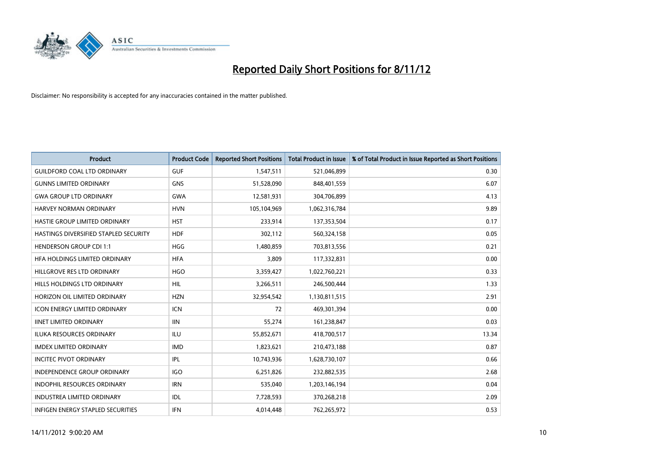

| <b>Product</b>                               | <b>Product Code</b> | <b>Reported Short Positions</b> | <b>Total Product in Issue</b> | % of Total Product in Issue Reported as Short Positions |
|----------------------------------------------|---------------------|---------------------------------|-------------------------------|---------------------------------------------------------|
| <b>GUILDFORD COAL LTD ORDINARY</b>           | <b>GUF</b>          | 1,547,511                       | 521,046,899                   | 0.30                                                    |
| <b>GUNNS LIMITED ORDINARY</b>                | <b>GNS</b>          | 51,528,090                      | 848,401,559                   | 6.07                                                    |
| <b>GWA GROUP LTD ORDINARY</b>                | <b>GWA</b>          | 12,581,931                      | 304,706,899                   | 4.13                                                    |
| HARVEY NORMAN ORDINARY                       | <b>HVN</b>          | 105,104,969                     | 1,062,316,784                 | 9.89                                                    |
| HASTIE GROUP LIMITED ORDINARY                | <b>HST</b>          | 233,914                         | 137,353,504                   | 0.17                                                    |
| <b>HASTINGS DIVERSIFIED STAPLED SECURITY</b> | <b>HDF</b>          | 302,112                         | 560,324,158                   | 0.05                                                    |
| <b>HENDERSON GROUP CDI 1:1</b>               | <b>HGG</b>          | 1,480,859                       | 703,813,556                   | 0.21                                                    |
| HFA HOLDINGS LIMITED ORDINARY                | <b>HFA</b>          | 3,809                           | 117,332,831                   | 0.00                                                    |
| HILLGROVE RES LTD ORDINARY                   | <b>HGO</b>          | 3,359,427                       | 1,022,760,221                 | 0.33                                                    |
| <b>HILLS HOLDINGS LTD ORDINARY</b>           | <b>HIL</b>          | 3,266,511                       | 246,500,444                   | 1.33                                                    |
| HORIZON OIL LIMITED ORDINARY                 | <b>HZN</b>          | 32,954,542                      | 1,130,811,515                 | 2.91                                                    |
| <b>ICON ENERGY LIMITED ORDINARY</b>          | <b>ICN</b>          | 72                              | 469,301,394                   | 0.00                                                    |
| <b>IINET LIMITED ORDINARY</b>                | <b>IIN</b>          | 55,274                          | 161,238,847                   | 0.03                                                    |
| <b>ILUKA RESOURCES ORDINARY</b>              | ILU                 | 55,852,671                      | 418,700,517                   | 13.34                                                   |
| IMDEX LIMITED ORDINARY                       | <b>IMD</b>          | 1,823,621                       | 210,473,188                   | 0.87                                                    |
| <b>INCITEC PIVOT ORDINARY</b>                | <b>IPL</b>          | 10,743,936                      | 1,628,730,107                 | 0.66                                                    |
| <b>INDEPENDENCE GROUP ORDINARY</b>           | <b>IGO</b>          | 6,251,826                       | 232,882,535                   | 2.68                                                    |
| INDOPHIL RESOURCES ORDINARY                  | <b>IRN</b>          | 535,040                         | 1,203,146,194                 | 0.04                                                    |
| <b>INDUSTREA LIMITED ORDINARY</b>            | <b>IDL</b>          | 7,728,593                       | 370,268,218                   | 2.09                                                    |
| <b>INFIGEN ENERGY STAPLED SECURITIES</b>     | <b>IFN</b>          | 4,014,448                       | 762,265,972                   | 0.53                                                    |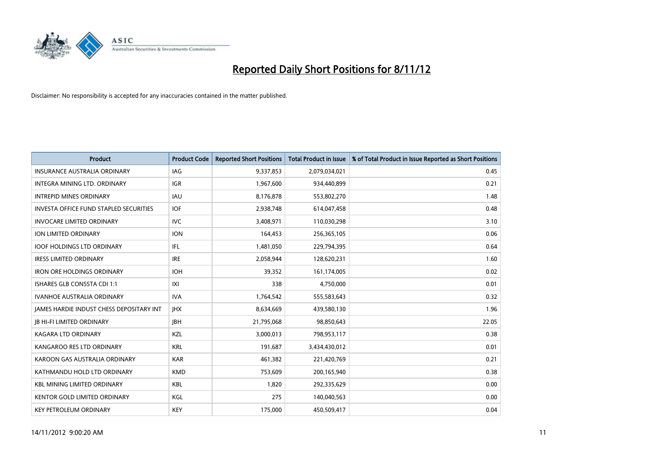

| <b>Product</b>                                  | <b>Product Code</b> | <b>Reported Short Positions</b> | <b>Total Product in Issue</b> | % of Total Product in Issue Reported as Short Positions |
|-------------------------------------------------|---------------------|---------------------------------|-------------------------------|---------------------------------------------------------|
| <b>INSURANCE AUSTRALIA ORDINARY</b>             | IAG                 | 9,337,853                       | 2,079,034,021                 | 0.45                                                    |
| INTEGRA MINING LTD. ORDINARY                    | <b>IGR</b>          | 1,967,600                       | 934,440,899                   | 0.21                                                    |
| <b>INTREPID MINES ORDINARY</b>                  | <b>IAU</b>          | 8,176,878                       | 553,802,270                   | 1.48                                                    |
| <b>INVESTA OFFICE FUND STAPLED SECURITIES</b>   | <b>IOF</b>          | 2,938,748                       | 614,047,458                   | 0.48                                                    |
| <b>INVOCARE LIMITED ORDINARY</b>                | <b>IVC</b>          | 3,408,971                       | 110,030,298                   | 3.10                                                    |
| ION LIMITED ORDINARY                            | <b>ION</b>          | 164,453                         | 256,365,105                   | 0.06                                                    |
| <b>IOOF HOLDINGS LTD ORDINARY</b>               | IFL                 | 1,481,050                       | 229,794,395                   | 0.64                                                    |
| <b>IRESS LIMITED ORDINARY</b>                   | <b>IRE</b>          | 2,058,944                       | 128,620,231                   | 1.60                                                    |
| <b>IRON ORE HOLDINGS ORDINARY</b>               | <b>IOH</b>          | 39,352                          | 161,174,005                   | 0.02                                                    |
| <b>ISHARES GLB CONSSTA CDI 1:1</b>              | X                   | 338                             | 4,750,000                     | 0.01                                                    |
| <b>IVANHOE AUSTRALIA ORDINARY</b>               | <b>IVA</b>          | 1,764,542                       | 555,583,643                   | 0.32                                                    |
| <b>JAMES HARDIE INDUST CHESS DEPOSITARY INT</b> | <b>IHX</b>          | 8,634,669                       | 439,580,130                   | 1.96                                                    |
| <b>JB HI-FI LIMITED ORDINARY</b>                | <b>IBH</b>          | 21,795,068                      | 98,850,643                    | 22.05                                                   |
| <b>KAGARA LTD ORDINARY</b>                      | <b>KZL</b>          | 3,000,013                       | 798,953,117                   | 0.38                                                    |
| KANGAROO RES LTD ORDINARY                       | <b>KRL</b>          | 191,687                         | 3,434,430,012                 | 0.01                                                    |
| KAROON GAS AUSTRALIA ORDINARY                   | <b>KAR</b>          | 461,382                         | 221,420,769                   | 0.21                                                    |
| KATHMANDU HOLD LTD ORDINARY                     | <b>KMD</b>          | 753,609                         | 200,165,940                   | 0.38                                                    |
| <b>KBL MINING LIMITED ORDINARY</b>              | <b>KBL</b>          | 1,820                           | 292,335,629                   | 0.00                                                    |
| <b>KENTOR GOLD LIMITED ORDINARY</b>             | KGL                 | 275                             | 140,040,563                   | 0.00                                                    |
| <b>KEY PETROLEUM ORDINARY</b>                   | <b>KEY</b>          | 175,000                         | 450,509,417                   | 0.04                                                    |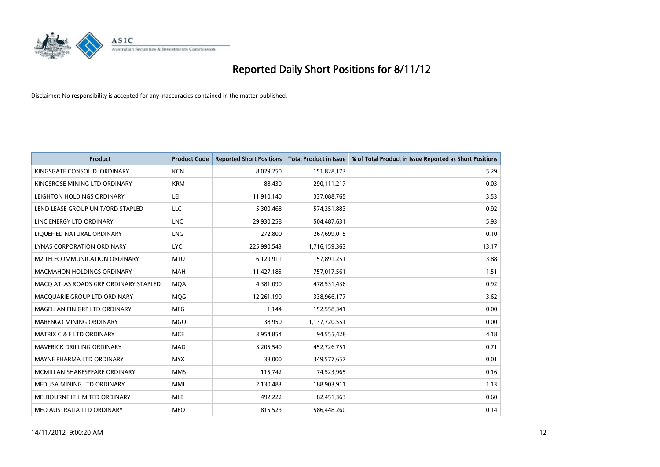

| <b>Product</b>                        | <b>Product Code</b> | <b>Reported Short Positions</b> | <b>Total Product in Issue</b> | % of Total Product in Issue Reported as Short Positions |
|---------------------------------------|---------------------|---------------------------------|-------------------------------|---------------------------------------------------------|
| KINGSGATE CONSOLID. ORDINARY          | <b>KCN</b>          | 8,029,250                       | 151,828,173                   | 5.29                                                    |
| KINGSROSE MINING LTD ORDINARY         | <b>KRM</b>          | 88,430                          | 290,111,217                   | 0.03                                                    |
| LEIGHTON HOLDINGS ORDINARY            | LEI                 | 11,910,140                      | 337,088,765                   | 3.53                                                    |
| LEND LEASE GROUP UNIT/ORD STAPLED     | LLC                 | 5,300,468                       | 574,351,883                   | 0.92                                                    |
| LINC ENERGY LTD ORDINARY              | <b>LNC</b>          | 29,930,258                      | 504,487,631                   | 5.93                                                    |
| LIQUEFIED NATURAL ORDINARY            | LNG                 | 272,800                         | 267,699,015                   | 0.10                                                    |
| LYNAS CORPORATION ORDINARY            | <b>LYC</b>          | 225,990,543                     | 1,716,159,363                 | 13.17                                                   |
| M2 TELECOMMUNICATION ORDINARY         | <b>MTU</b>          | 6,129,911                       | 157,891,251                   | 3.88                                                    |
| <b>MACMAHON HOLDINGS ORDINARY</b>     | <b>MAH</b>          | 11,427,185                      | 757,017,561                   | 1.51                                                    |
| MACO ATLAS ROADS GRP ORDINARY STAPLED | <b>MOA</b>          | 4,381,090                       | 478,531,436                   | 0.92                                                    |
| MACQUARIE GROUP LTD ORDINARY          | MQG                 | 12,261,190                      | 338,966,177                   | 3.62                                                    |
| MAGELLAN FIN GRP LTD ORDINARY         | <b>MFG</b>          | 1,144                           | 152,558,341                   | 0.00                                                    |
| <b>MARENGO MINING ORDINARY</b>        | <b>MGO</b>          | 38,950                          | 1,137,720,551                 | 0.00                                                    |
| <b>MATRIX C &amp; E LTD ORDINARY</b>  | <b>MCE</b>          | 3,954,854                       | 94,555,428                    | 4.18                                                    |
| MAVERICK DRILLING ORDINARY            | <b>MAD</b>          | 3,205,540                       | 452,726,751                   | 0.71                                                    |
| MAYNE PHARMA LTD ORDINARY             | <b>MYX</b>          | 38,000                          | 349,577,657                   | 0.01                                                    |
| MCMILLAN SHAKESPEARE ORDINARY         | <b>MMS</b>          | 115,742                         | 74,523,965                    | 0.16                                                    |
| MEDUSA MINING LTD ORDINARY            | <b>MML</b>          | 2,130,483                       | 188,903,911                   | 1.13                                                    |
| MELBOURNE IT LIMITED ORDINARY         | <b>MLB</b>          | 492,222                         | 82,451,363                    | 0.60                                                    |
| MEO AUSTRALIA LTD ORDINARY            | <b>MEO</b>          | 815,523                         | 586,448,260                   | 0.14                                                    |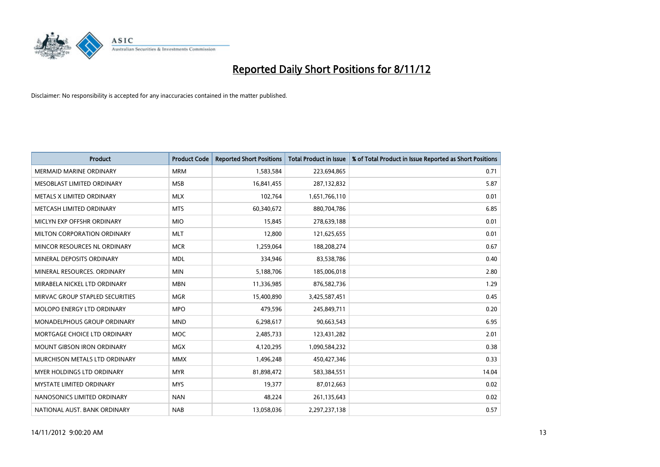

| <b>Product</b>                    | <b>Product Code</b> | <b>Reported Short Positions</b> | <b>Total Product in Issue</b> | % of Total Product in Issue Reported as Short Positions |
|-----------------------------------|---------------------|---------------------------------|-------------------------------|---------------------------------------------------------|
| <b>MERMAID MARINE ORDINARY</b>    | <b>MRM</b>          | 1,583,584                       | 223,694,865                   | 0.71                                                    |
| MESOBLAST LIMITED ORDINARY        | <b>MSB</b>          | 16,841,455                      | 287,132,832                   | 5.87                                                    |
| <b>METALS X LIMITED ORDINARY</b>  | <b>MLX</b>          | 102,764                         | 1,651,766,110                 | 0.01                                                    |
| METCASH LIMITED ORDINARY          | <b>MTS</b>          | 60,340,672                      | 880,704,786                   | 6.85                                                    |
| MICLYN EXP OFFSHR ORDINARY        | <b>MIO</b>          | 15,845                          | 278,639,188                   | 0.01                                                    |
| MILTON CORPORATION ORDINARY       | <b>MLT</b>          | 12,800                          | 121,625,655                   | 0.01                                                    |
| MINCOR RESOURCES NL ORDINARY      | <b>MCR</b>          | 1,259,064                       | 188,208,274                   | 0.67                                                    |
| MINERAL DEPOSITS ORDINARY         | <b>MDL</b>          | 334,946                         | 83,538,786                    | 0.40                                                    |
| MINERAL RESOURCES, ORDINARY       | <b>MIN</b>          | 5,188,706                       | 185,006,018                   | 2.80                                                    |
| MIRABELA NICKEL LTD ORDINARY      | <b>MBN</b>          | 11,336,985                      | 876,582,736                   | 1.29                                                    |
| MIRVAC GROUP STAPLED SECURITIES   | <b>MGR</b>          | 15,400,890                      | 3,425,587,451                 | 0.45                                                    |
| MOLOPO ENERGY LTD ORDINARY        | <b>MPO</b>          | 479,596                         | 245,849,711                   | 0.20                                                    |
| MONADELPHOUS GROUP ORDINARY       | <b>MND</b>          | 6,298,617                       | 90,663,543                    | 6.95                                                    |
| MORTGAGE CHOICE LTD ORDINARY      | MOC                 | 2,485,733                       | 123,431,282                   | 2.01                                                    |
| <b>MOUNT GIBSON IRON ORDINARY</b> | <b>MGX</b>          | 4,120,295                       | 1,090,584,232                 | 0.38                                                    |
| MURCHISON METALS LTD ORDINARY     | <b>MMX</b>          | 1,496,248                       | 450,427,346                   | 0.33                                                    |
| MYER HOLDINGS LTD ORDINARY        | <b>MYR</b>          | 81,898,472                      | 583,384,551                   | 14.04                                                   |
| MYSTATE LIMITED ORDINARY          | <b>MYS</b>          | 19,377                          | 87,012,663                    | 0.02                                                    |
| NANOSONICS LIMITED ORDINARY       | <b>NAN</b>          | 48,224                          | 261,135,643                   | 0.02                                                    |
| NATIONAL AUST. BANK ORDINARY      | <b>NAB</b>          | 13,058,036                      | 2,297,237,138                 | 0.57                                                    |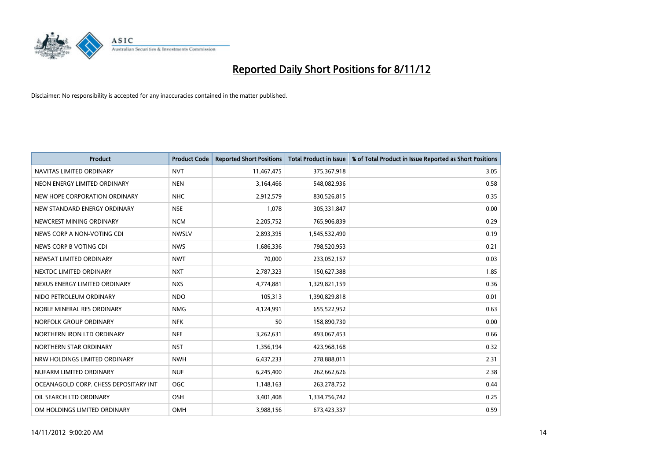

| <b>Product</b>                        | <b>Product Code</b> | <b>Reported Short Positions</b> | <b>Total Product in Issue</b> | % of Total Product in Issue Reported as Short Positions |
|---------------------------------------|---------------------|---------------------------------|-------------------------------|---------------------------------------------------------|
| NAVITAS LIMITED ORDINARY              | <b>NVT</b>          | 11,467,475                      | 375,367,918                   | 3.05                                                    |
| NEON ENERGY LIMITED ORDINARY          | <b>NEN</b>          | 3,164,466                       | 548,082,936                   | 0.58                                                    |
| NEW HOPE CORPORATION ORDINARY         | <b>NHC</b>          | 2,912,579                       | 830,526,815                   | 0.35                                                    |
| NEW STANDARD ENERGY ORDINARY          | <b>NSE</b>          | 1,078                           | 305,331,847                   | 0.00                                                    |
| NEWCREST MINING ORDINARY              | <b>NCM</b>          | 2,205,752                       | 765,906,839                   | 0.29                                                    |
| NEWS CORP A NON-VOTING CDI            | <b>NWSLV</b>        | 2,893,395                       | 1,545,532,490                 | 0.19                                                    |
| NEWS CORP B VOTING CDI                | <b>NWS</b>          | 1,686,336                       | 798,520,953                   | 0.21                                                    |
| NEWSAT LIMITED ORDINARY               | <b>NWT</b>          | 70,000                          | 233,052,157                   | 0.03                                                    |
| NEXTDC LIMITED ORDINARY               | <b>NXT</b>          | 2,787,323                       | 150,627,388                   | 1.85                                                    |
| NEXUS ENERGY LIMITED ORDINARY         | <b>NXS</b>          | 4,774,881                       | 1,329,821,159                 | 0.36                                                    |
| NIDO PETROLEUM ORDINARY               | <b>NDO</b>          | 105,313                         | 1,390,829,818                 | 0.01                                                    |
| NOBLE MINERAL RES ORDINARY            | <b>NMG</b>          | 4,124,991                       | 655,522,952                   | 0.63                                                    |
| NORFOLK GROUP ORDINARY                | <b>NFK</b>          | 50                              | 158,890,730                   | 0.00                                                    |
| NORTHERN IRON LTD ORDINARY            | <b>NFE</b>          | 3,262,631                       | 493,067,453                   | 0.66                                                    |
| NORTHERN STAR ORDINARY                | <b>NST</b>          | 1,356,194                       | 423,968,168                   | 0.32                                                    |
| NRW HOLDINGS LIMITED ORDINARY         | <b>NWH</b>          | 6,437,233                       | 278,888,011                   | 2.31                                                    |
| NUFARM LIMITED ORDINARY               | <b>NUF</b>          | 6,245,400                       | 262,662,626                   | 2.38                                                    |
| OCEANAGOLD CORP. CHESS DEPOSITARY INT | <b>OGC</b>          | 1,148,163                       | 263,278,752                   | 0.44                                                    |
| OIL SEARCH LTD ORDINARY               | OSH                 | 3,401,408                       | 1,334,756,742                 | 0.25                                                    |
| OM HOLDINGS LIMITED ORDINARY          | OMH                 | 3,988,156                       | 673,423,337                   | 0.59                                                    |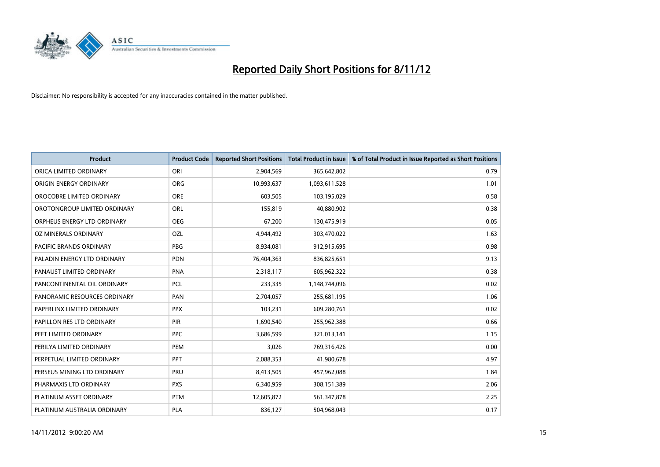

| <b>Product</b>               | <b>Product Code</b> | <b>Reported Short Positions</b> | <b>Total Product in Issue</b> | % of Total Product in Issue Reported as Short Positions |
|------------------------------|---------------------|---------------------------------|-------------------------------|---------------------------------------------------------|
| ORICA LIMITED ORDINARY       | ORI                 | 2,904,569                       | 365,642,802                   | 0.79                                                    |
| ORIGIN ENERGY ORDINARY       | <b>ORG</b>          | 10,993,637                      | 1,093,611,528                 | 1.01                                                    |
| OROCOBRE LIMITED ORDINARY    | <b>ORE</b>          | 603,505                         | 103,195,029                   | 0.58                                                    |
| OROTONGROUP LIMITED ORDINARY | <b>ORL</b>          | 155,819                         | 40,880,902                    | 0.38                                                    |
| ORPHEUS ENERGY LTD ORDINARY  | <b>OEG</b>          | 67,200                          | 130,475,919                   | 0.05                                                    |
| OZ MINERALS ORDINARY         | OZL                 | 4,944,492                       | 303,470,022                   | 1.63                                                    |
| PACIFIC BRANDS ORDINARY      | <b>PBG</b>          | 8,934,081                       | 912,915,695                   | 0.98                                                    |
| PALADIN ENERGY LTD ORDINARY  | <b>PDN</b>          | 76,404,363                      | 836,825,651                   | 9.13                                                    |
| PANAUST LIMITED ORDINARY     | <b>PNA</b>          | 2,318,117                       | 605,962,322                   | 0.38                                                    |
| PANCONTINENTAL OIL ORDINARY  | <b>PCL</b>          | 233,335                         | 1,148,744,096                 | 0.02                                                    |
| PANORAMIC RESOURCES ORDINARY | PAN                 | 2,704,057                       | 255,681,195                   | 1.06                                                    |
| PAPERLINX LIMITED ORDINARY   | <b>PPX</b>          | 103,231                         | 609,280,761                   | 0.02                                                    |
| PAPILLON RES LTD ORDINARY    | <b>PIR</b>          | 1,690,540                       | 255,962,388                   | 0.66                                                    |
| PEET LIMITED ORDINARY        | <b>PPC</b>          | 3,686,599                       | 321,013,141                   | 1.15                                                    |
| PERILYA LIMITED ORDINARY     | PEM                 | 3,026                           | 769,316,426                   | 0.00                                                    |
| PERPETUAL LIMITED ORDINARY   | <b>PPT</b>          | 2,088,353                       | 41,980,678                    | 4.97                                                    |
| PERSEUS MINING LTD ORDINARY  | PRU                 | 8,413,505                       | 457,962,088                   | 1.84                                                    |
| PHARMAXIS LTD ORDINARY       | <b>PXS</b>          | 6,340,959                       | 308,151,389                   | 2.06                                                    |
| PLATINUM ASSET ORDINARY      | <b>PTM</b>          | 12,605,872                      | 561,347,878                   | 2.25                                                    |
| PLATINUM AUSTRALIA ORDINARY  | <b>PLA</b>          | 836,127                         | 504,968,043                   | 0.17                                                    |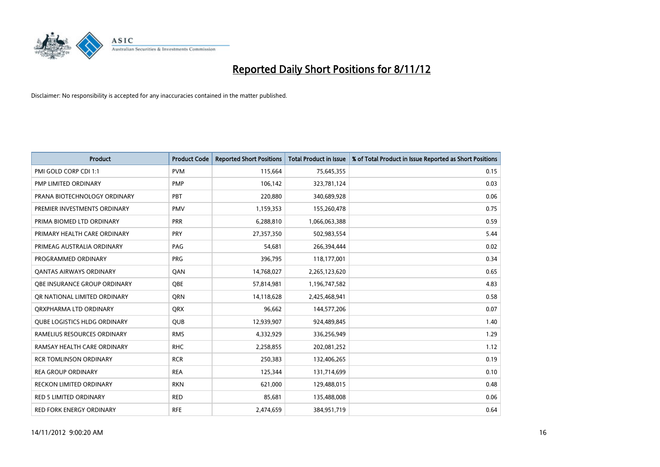

| <b>Product</b>                      | <b>Product Code</b> | <b>Reported Short Positions</b> | <b>Total Product in Issue</b> | % of Total Product in Issue Reported as Short Positions |
|-------------------------------------|---------------------|---------------------------------|-------------------------------|---------------------------------------------------------|
| PMI GOLD CORP CDI 1:1               | <b>PVM</b>          | 115,664                         | 75,645,355                    | 0.15                                                    |
| PMP LIMITED ORDINARY                | <b>PMP</b>          | 106,142                         | 323,781,124                   | 0.03                                                    |
| PRANA BIOTECHNOLOGY ORDINARY        | PBT                 | 220,880                         | 340,689,928                   | 0.06                                                    |
| PREMIER INVESTMENTS ORDINARY        | <b>PMV</b>          | 1,159,353                       | 155,260,478                   | 0.75                                                    |
| PRIMA BIOMED LTD ORDINARY           | <b>PRR</b>          | 6,288,810                       | 1,066,063,388                 | 0.59                                                    |
| PRIMARY HEALTH CARE ORDINARY        | <b>PRY</b>          | 27,357,350                      | 502,983,554                   | 5.44                                                    |
| PRIMEAG AUSTRALIA ORDINARY          | PAG                 | 54,681                          | 266,394,444                   | 0.02                                                    |
| PROGRAMMED ORDINARY                 | PRG                 | 396,795                         | 118,177,001                   | 0.34                                                    |
| <b>QANTAS AIRWAYS ORDINARY</b>      | QAN                 | 14,768,027                      | 2,265,123,620                 | 0.65                                                    |
| OBE INSURANCE GROUP ORDINARY        | <b>OBE</b>          | 57,814,981                      | 1,196,747,582                 | 4.83                                                    |
| OR NATIONAL LIMITED ORDINARY        | <b>ORN</b>          | 14,118,628                      | 2,425,468,941                 | 0.58                                                    |
| ORXPHARMA LTD ORDINARY              | <b>QRX</b>          | 96,662                          | 144,577,206                   | 0.07                                                    |
| <b>OUBE LOGISTICS HLDG ORDINARY</b> | QUB                 | 12,939,907                      | 924,489,845                   | 1.40                                                    |
| RAMELIUS RESOURCES ORDINARY         | <b>RMS</b>          | 4,332,929                       | 336,256,949                   | 1.29                                                    |
| RAMSAY HEALTH CARE ORDINARY         | <b>RHC</b>          | 2,258,855                       | 202,081,252                   | 1.12                                                    |
| <b>RCR TOMLINSON ORDINARY</b>       | <b>RCR</b>          | 250,383                         | 132,406,265                   | 0.19                                                    |
| <b>REA GROUP ORDINARY</b>           | <b>REA</b>          | 125,344                         | 131,714,699                   | 0.10                                                    |
| RECKON LIMITED ORDINARY             | <b>RKN</b>          | 621,000                         | 129,488,015                   | 0.48                                                    |
| <b>RED 5 LIMITED ORDINARY</b>       | <b>RED</b>          | 85,681                          | 135,488,008                   | 0.06                                                    |
| <b>RED FORK ENERGY ORDINARY</b>     | <b>RFE</b>          | 2,474,659                       | 384,951,719                   | 0.64                                                    |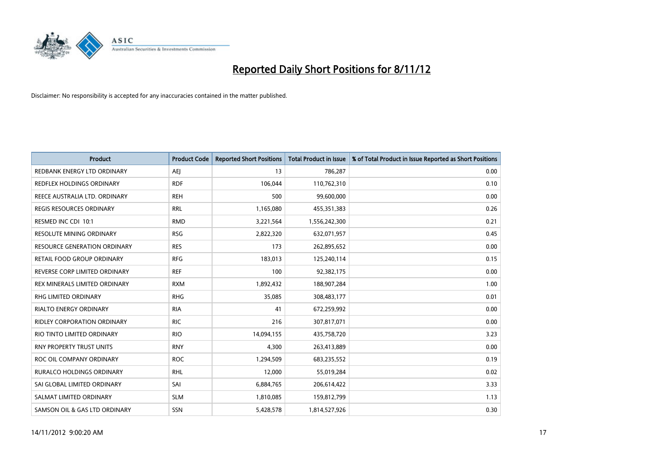

| <b>Product</b>                      | <b>Product Code</b> | <b>Reported Short Positions</b> | <b>Total Product in Issue</b> | % of Total Product in Issue Reported as Short Positions |
|-------------------------------------|---------------------|---------------------------------|-------------------------------|---------------------------------------------------------|
| REDBANK ENERGY LTD ORDINARY         | AEI                 | 13                              | 786,287                       | 0.00                                                    |
| REDFLEX HOLDINGS ORDINARY           | <b>RDF</b>          | 106,044                         | 110,762,310                   | 0.10                                                    |
| REECE AUSTRALIA LTD. ORDINARY       | <b>REH</b>          | 500                             | 99,600,000                    | 0.00                                                    |
| REGIS RESOURCES ORDINARY            | <b>RRL</b>          | 1,165,080                       | 455,351,383                   | 0.26                                                    |
| RESMED INC CDI 10:1                 | <b>RMD</b>          | 3,221,564                       | 1,556,242,300                 | 0.21                                                    |
| RESOLUTE MINING ORDINARY            | <b>RSG</b>          | 2,822,320                       | 632,071,957                   | 0.45                                                    |
| <b>RESOURCE GENERATION ORDINARY</b> | <b>RES</b>          | 173                             | 262,895,652                   | 0.00                                                    |
| RETAIL FOOD GROUP ORDINARY          | <b>RFG</b>          | 183,013                         | 125,240,114                   | 0.15                                                    |
| REVERSE CORP LIMITED ORDINARY       | <b>REF</b>          | 100                             | 92,382,175                    | 0.00                                                    |
| REX MINERALS LIMITED ORDINARY       | <b>RXM</b>          | 1,892,432                       | 188,907,284                   | 1.00                                                    |
| <b>RHG LIMITED ORDINARY</b>         | <b>RHG</b>          | 35,085                          | 308,483,177                   | 0.01                                                    |
| RIALTO ENERGY ORDINARY              | <b>RIA</b>          | 41                              | 672,259,992                   | 0.00                                                    |
| <b>RIDLEY CORPORATION ORDINARY</b>  | <b>RIC</b>          | 216                             | 307,817,071                   | 0.00                                                    |
| RIO TINTO LIMITED ORDINARY          | <b>RIO</b>          | 14,094,155                      | 435,758,720                   | 3.23                                                    |
| <b>RNY PROPERTY TRUST UNITS</b>     | <b>RNY</b>          | 4,300                           | 263,413,889                   | 0.00                                                    |
| ROC OIL COMPANY ORDINARY            | <b>ROC</b>          | 1,294,509                       | 683,235,552                   | 0.19                                                    |
| RURALCO HOLDINGS ORDINARY           | <b>RHL</b>          | 12,000                          | 55,019,284                    | 0.02                                                    |
| SAI GLOBAL LIMITED ORDINARY         | SAI                 | 6,884,765                       | 206,614,422                   | 3.33                                                    |
| SALMAT LIMITED ORDINARY             | <b>SLM</b>          | 1,810,085                       | 159,812,799                   | 1.13                                                    |
| SAMSON OIL & GAS LTD ORDINARY       | <b>SSN</b>          | 5,428,578                       | 1,814,527,926                 | 0.30                                                    |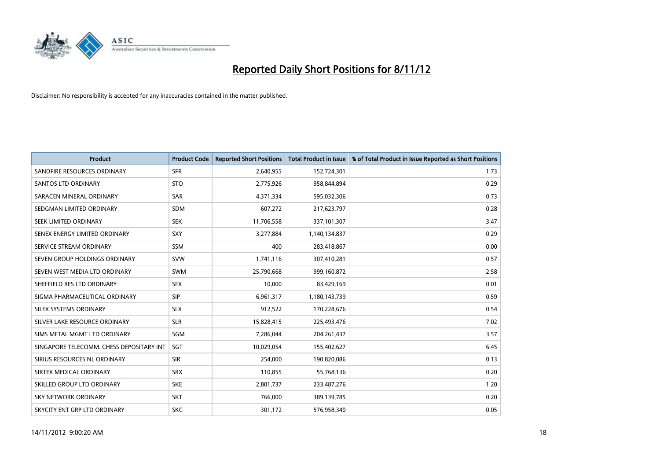

| <b>Product</b>                           | <b>Product Code</b> | <b>Reported Short Positions</b> | <b>Total Product in Issue</b> | % of Total Product in Issue Reported as Short Positions |
|------------------------------------------|---------------------|---------------------------------|-------------------------------|---------------------------------------------------------|
| SANDFIRE RESOURCES ORDINARY              | <b>SFR</b>          | 2,640,955                       | 152,724,301                   | 1.73                                                    |
| <b>SANTOS LTD ORDINARY</b>               | <b>STO</b>          | 2,775,926                       | 958,844,894                   | 0.29                                                    |
| SARACEN MINERAL ORDINARY                 | SAR                 | 4,371,334                       | 595,032,306                   | 0.73                                                    |
| SEDGMAN LIMITED ORDINARY                 | <b>SDM</b>          | 607,272                         | 217,623,797                   | 0.28                                                    |
| <b>SEEK LIMITED ORDINARY</b>             | <b>SEK</b>          | 11,706,558                      | 337,101,307                   | 3.47                                                    |
| SENEX ENERGY LIMITED ORDINARY            | <b>SXY</b>          | 3,277,884                       | 1,140,134,837                 | 0.29                                                    |
| SERVICE STREAM ORDINARY                  | <b>SSM</b>          | 400                             | 283,418,867                   | 0.00                                                    |
| SEVEN GROUP HOLDINGS ORDINARY            | <b>SVW</b>          | 1,741,116                       | 307,410,281                   | 0.57                                                    |
| SEVEN WEST MEDIA LTD ORDINARY            | <b>SWM</b>          | 25,790,668                      | 999,160,872                   | 2.58                                                    |
| SHEFFIELD RES LTD ORDINARY               | <b>SFX</b>          | 10,000                          | 83,429,169                    | 0.01                                                    |
| SIGMA PHARMACEUTICAL ORDINARY            | <b>SIP</b>          | 6,961,317                       | 1,180,143,739                 | 0.59                                                    |
| SILEX SYSTEMS ORDINARY                   | <b>SLX</b>          | 912,522                         | 170,228,676                   | 0.54                                                    |
| SILVER LAKE RESOURCE ORDINARY            | <b>SLR</b>          | 15,828,415                      | 225,493,476                   | 7.02                                                    |
| SIMS METAL MGMT LTD ORDINARY             | SGM                 | 7,286,044                       | 204, 261, 437                 | 3.57                                                    |
| SINGAPORE TELECOMM. CHESS DEPOSITARY INT | SGT                 | 10,029,054                      | 155,402,627                   | 6.45                                                    |
| SIRIUS RESOURCES NL ORDINARY             | <b>SIR</b>          | 254,000                         | 190,820,086                   | 0.13                                                    |
| SIRTEX MEDICAL ORDINARY                  | <b>SRX</b>          | 110,855                         | 55,768,136                    | 0.20                                                    |
| SKILLED GROUP LTD ORDINARY               | <b>SKE</b>          | 2,801,737                       | 233,487,276                   | 1.20                                                    |
| <b>SKY NETWORK ORDINARY</b>              | <b>SKT</b>          | 766,000                         | 389,139,785                   | 0.20                                                    |
| SKYCITY ENT GRP LTD ORDINARY             | <b>SKC</b>          | 301,172                         | 576,958,340                   | 0.05                                                    |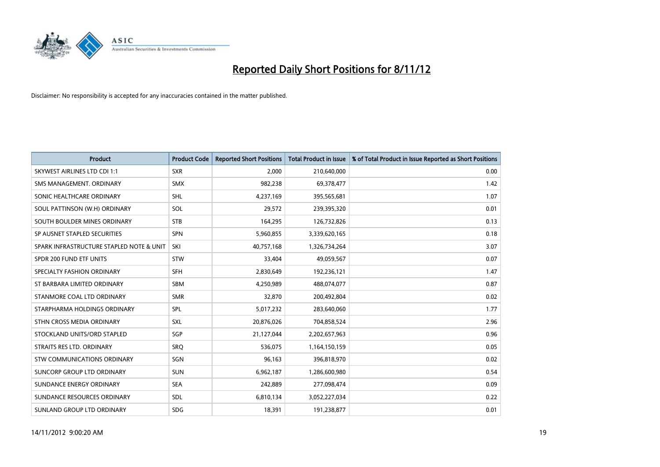

| <b>Product</b>                           | <b>Product Code</b> | <b>Reported Short Positions</b> | <b>Total Product in Issue</b> | % of Total Product in Issue Reported as Short Positions |
|------------------------------------------|---------------------|---------------------------------|-------------------------------|---------------------------------------------------------|
| <b>SKYWEST AIRLINES LTD CDI 1:1</b>      | <b>SXR</b>          | 2,000                           | 210,640,000                   | 0.00                                                    |
| SMS MANAGEMENT. ORDINARY                 | <b>SMX</b>          | 982,238                         | 69,378,477                    | 1.42                                                    |
| SONIC HEALTHCARE ORDINARY                | <b>SHL</b>          | 4,237,169                       | 395,565,681                   | 1.07                                                    |
| SOUL PATTINSON (W.H) ORDINARY            | SOL                 | 29,572                          | 239,395,320                   | 0.01                                                    |
| SOUTH BOULDER MINES ORDINARY             | <b>STB</b>          | 164,295                         | 126,732,826                   | 0.13                                                    |
| SP AUSNET STAPLED SECURITIES             | <b>SPN</b>          | 5,960,855                       | 3,339,620,165                 | 0.18                                                    |
| SPARK INFRASTRUCTURE STAPLED NOTE & UNIT | SKI                 | 40,757,168                      | 1,326,734,264                 | 3.07                                                    |
| SPDR 200 FUND ETF UNITS                  | <b>STW</b>          | 33,404                          | 49,059,567                    | 0.07                                                    |
| SPECIALTY FASHION ORDINARY               | <b>SFH</b>          | 2,830,649                       | 192,236,121                   | 1.47                                                    |
| ST BARBARA LIMITED ORDINARY              | <b>SBM</b>          | 4,250,989                       | 488,074,077                   | 0.87                                                    |
| STANMORE COAL LTD ORDINARY               | <b>SMR</b>          | 32,870                          | 200,492,804                   | 0.02                                                    |
| STARPHARMA HOLDINGS ORDINARY             | <b>SPL</b>          | 5,017,232                       | 283,640,060                   | 1.77                                                    |
| STHN CROSS MEDIA ORDINARY                | <b>SXL</b>          | 20,876,026                      | 704,858,524                   | 2.96                                                    |
| STOCKLAND UNITS/ORD STAPLED              | SGP                 | 21,127,044                      | 2,202,657,963                 | 0.96                                                    |
| STRAITS RES LTD. ORDINARY                | SRQ                 | 536,075                         | 1,164,150,159                 | 0.05                                                    |
| <b>STW COMMUNICATIONS ORDINARY</b>       | SGN                 | 96,163                          | 396,818,970                   | 0.02                                                    |
| SUNCORP GROUP LTD ORDINARY               | <b>SUN</b>          | 6,962,187                       | 1,286,600,980                 | 0.54                                                    |
| SUNDANCE ENERGY ORDINARY                 | <b>SEA</b>          | 242,889                         | 277,098,474                   | 0.09                                                    |
| SUNDANCE RESOURCES ORDINARY              | <b>SDL</b>          | 6,810,134                       | 3,052,227,034                 | 0.22                                                    |
| SUNLAND GROUP LTD ORDINARY               | <b>SDG</b>          | 18,391                          | 191,238,877                   | 0.01                                                    |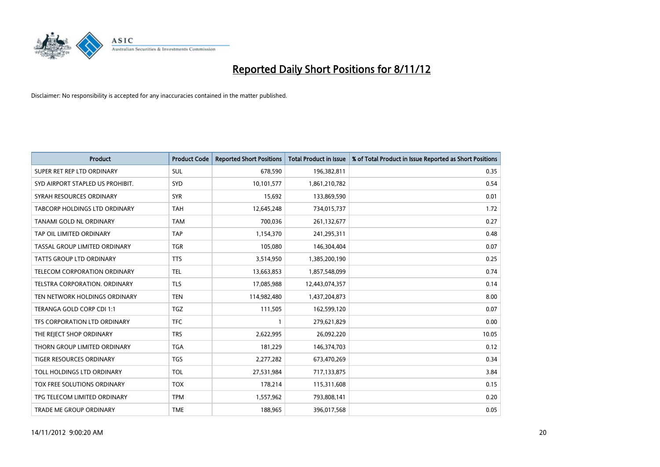

| <b>Product</b>                   | <b>Product Code</b> | <b>Reported Short Positions</b> | <b>Total Product in Issue</b> | % of Total Product in Issue Reported as Short Positions |
|----------------------------------|---------------------|---------------------------------|-------------------------------|---------------------------------------------------------|
| SUPER RET REP LTD ORDINARY       | <b>SUL</b>          | 678,590                         | 196,382,811                   | 0.35                                                    |
| SYD AIRPORT STAPLED US PROHIBIT. | <b>SYD</b>          | 10,101,577                      | 1,861,210,782                 | 0.54                                                    |
| SYRAH RESOURCES ORDINARY         | <b>SYR</b>          | 15,692                          | 133,869,590                   | 0.01                                                    |
| TABCORP HOLDINGS LTD ORDINARY    | <b>TAH</b>          | 12,645,248                      | 734,015,737                   | 1.72                                                    |
| <b>TANAMI GOLD NL ORDINARY</b>   | <b>TAM</b>          | 700,036                         | 261,132,677                   | 0.27                                                    |
| TAP OIL LIMITED ORDINARY         | TAP                 | 1,154,370                       | 241,295,311                   | 0.48                                                    |
| TASSAL GROUP LIMITED ORDINARY    | <b>TGR</b>          | 105,080                         | 146,304,404                   | 0.07                                                    |
| TATTS GROUP LTD ORDINARY         | <b>TTS</b>          | 3,514,950                       | 1,385,200,190                 | 0.25                                                    |
| TELECOM CORPORATION ORDINARY     | <b>TEL</b>          | 13,663,853                      | 1,857,548,099                 | 0.74                                                    |
| TELSTRA CORPORATION, ORDINARY    | <b>TLS</b>          | 17,085,988                      | 12,443,074,357                | 0.14                                                    |
| TEN NETWORK HOLDINGS ORDINARY    | <b>TEN</b>          | 114,982,480                     | 1,437,204,873                 | 8.00                                                    |
| TERANGA GOLD CORP CDI 1:1        | TGZ                 | 111,505                         | 162,599,120                   | 0.07                                                    |
| TFS CORPORATION LTD ORDINARY     | <b>TFC</b>          |                                 | 279,621,829                   | 0.00                                                    |
| THE REJECT SHOP ORDINARY         | <b>TRS</b>          | 2,622,995                       | 26,092,220                    | 10.05                                                   |
| THORN GROUP LIMITED ORDINARY     | <b>TGA</b>          | 181,229                         | 146,374,703                   | 0.12                                                    |
| TIGER RESOURCES ORDINARY         | <b>TGS</b>          | 2,277,282                       | 673,470,269                   | 0.34                                                    |
| TOLL HOLDINGS LTD ORDINARY       | <b>TOL</b>          | 27,531,984                      | 717,133,875                   | 3.84                                                    |
| TOX FREE SOLUTIONS ORDINARY      | <b>TOX</b>          | 178,214                         | 115,311,608                   | 0.15                                                    |
| TPG TELECOM LIMITED ORDINARY     | <b>TPM</b>          | 1,557,962                       | 793,808,141                   | 0.20                                                    |
| TRADE ME GROUP ORDINARY          | <b>TME</b>          | 188,965                         | 396,017,568                   | 0.05                                                    |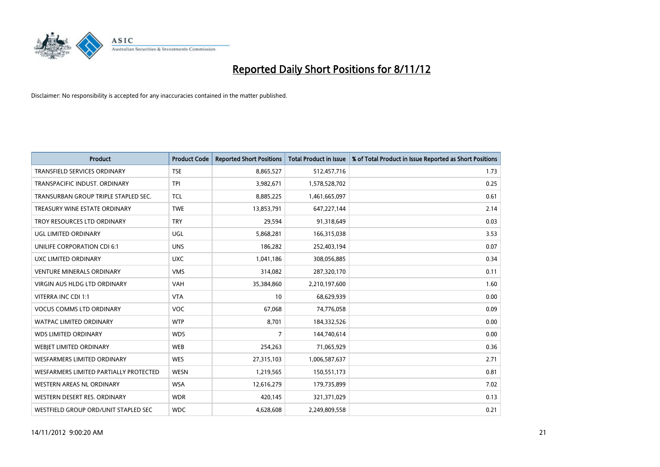

| <b>Product</b>                         | <b>Product Code</b> | <b>Reported Short Positions</b> | <b>Total Product in Issue</b> | % of Total Product in Issue Reported as Short Positions |
|----------------------------------------|---------------------|---------------------------------|-------------------------------|---------------------------------------------------------|
| <b>TRANSFIELD SERVICES ORDINARY</b>    | <b>TSE</b>          | 8,865,527                       | 512,457,716                   | 1.73                                                    |
| TRANSPACIFIC INDUST. ORDINARY          | <b>TPI</b>          | 3,982,671                       | 1,578,528,702                 | 0.25                                                    |
| TRANSURBAN GROUP TRIPLE STAPLED SEC.   | <b>TCL</b>          | 8,885,225                       | 1,461,665,097                 | 0.61                                                    |
| TREASURY WINE ESTATE ORDINARY          | <b>TWE</b>          | 13,853,791                      | 647,227,144                   | 2.14                                                    |
| TROY RESOURCES LTD ORDINARY            | <b>TRY</b>          | 29,594                          | 91,318,649                    | 0.03                                                    |
| UGL LIMITED ORDINARY                   | UGL                 | 5,868,281                       | 166,315,038                   | 3.53                                                    |
| UNILIFE CORPORATION CDI 6:1            | <b>UNS</b>          | 186,282                         | 252,403,194                   | 0.07                                                    |
| UXC LIMITED ORDINARY                   | <b>UXC</b>          | 1,041,186                       | 308,056,885                   | 0.34                                                    |
| <b>VENTURE MINERALS ORDINARY</b>       | <b>VMS</b>          | 314,082                         | 287,320,170                   | 0.11                                                    |
| <b>VIRGIN AUS HLDG LTD ORDINARY</b>    | <b>VAH</b>          | 35,384,860                      | 2,210,197,600                 | 1.60                                                    |
| VITERRA INC CDI 1:1                    | <b>VTA</b>          | 10                              | 68,629,939                    | 0.00                                                    |
| <b>VOCUS COMMS LTD ORDINARY</b>        | <b>VOC</b>          | 67,068                          | 74,776,058                    | 0.09                                                    |
| <b>WATPAC LIMITED ORDINARY</b>         | <b>WTP</b>          | 8,701                           | 184,332,526                   | 0.00                                                    |
| <b>WDS LIMITED ORDINARY</b>            | <b>WDS</b>          | 7                               | 144,740,614                   | 0.00                                                    |
| WEBJET LIMITED ORDINARY                | <b>WEB</b>          | 254,263                         | 71,065,929                    | 0.36                                                    |
| <b>WESFARMERS LIMITED ORDINARY</b>     | <b>WES</b>          | 27,315,103                      | 1,006,587,637                 | 2.71                                                    |
| WESFARMERS LIMITED PARTIALLY PROTECTED | <b>WESN</b>         | 1,219,565                       | 150,551,173                   | 0.81                                                    |
| WESTERN AREAS NL ORDINARY              | <b>WSA</b>          | 12,616,279                      | 179,735,899                   | 7.02                                                    |
| WESTERN DESERT RES. ORDINARY           | <b>WDR</b>          | 420,145                         | 321,371,029                   | 0.13                                                    |
| WESTFIELD GROUP ORD/UNIT STAPLED SEC   | <b>WDC</b>          | 4,628,608                       | 2,249,809,558                 | 0.21                                                    |